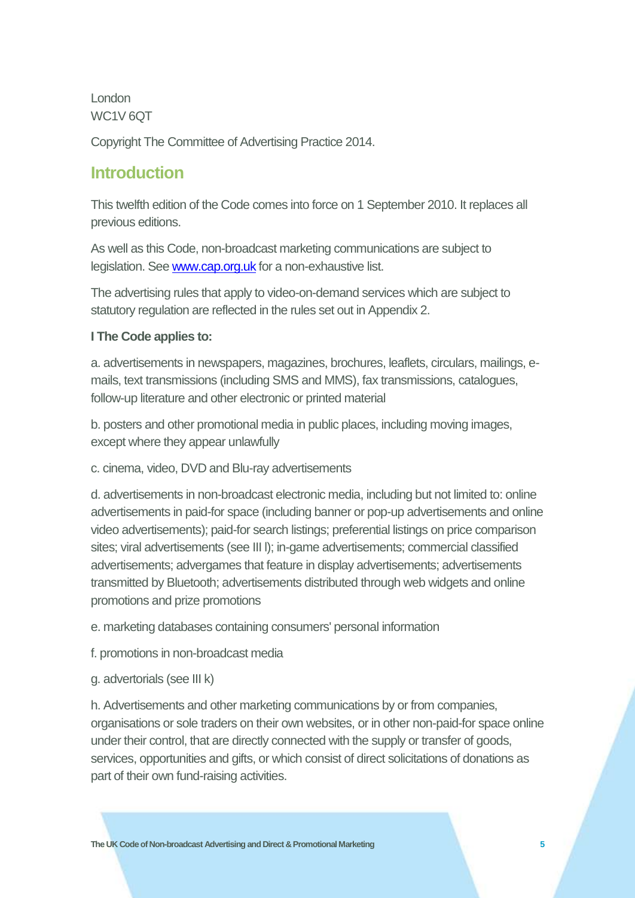London WC1V 6QT

Copyright The Committee of Advertising Practice 2014.

# **Introduction**

This twelfth edition of the Code comes into force on 1 September 2010. It replaces all previous editions.

As well as this Code, non-broadcast marketing communications are subject to legislation. Se[e www.cap.org.uk](http://www.cap.org.uk/) for a non-exhaustive list.

The advertising rules that apply to video-on-demand services which are subject to statutory regulation are reflected in the rules set out in Appendix 2.

### **I The Code applies to:**

a. advertisements in newspapers, magazines, brochures, leaflets, circulars, mailings, emails, text transmissions (including SMS and MMS), fax transmissions, catalogues, follow-up literature and other electronic or printed material

b. posters and other promotional media in public places, including moving images, except where they appear unlawfully

c. cinema, video, DVD and Blu-ray advertisements

d. advertisements in non-broadcast electronic media, including but not limited to: online advertisements in paid-for space (including banner or pop-up advertisements and online video advertisements); paid-for search listings; preferential listings on price comparison sites; viral advertisements (see III l); in-game advertisements; commercial classified advertisements; advergames that feature in display advertisements; advertisements transmitted by Bluetooth; advertisements distributed through web widgets and online promotions and prize promotions

e. marketing databases containing consumers' personal information

f. promotions in non-broadcast media

g. advertorials (see III k)

h. Advertisements and other marketing communications by or from companies, organisations or sole traders on their own websites, or in other non-paid-for space online under their control, that are directly connected with the supply or transfer of goods, services, opportunities and gifts, or which consist of direct solicitations of donations as part of their own fund-raising activities.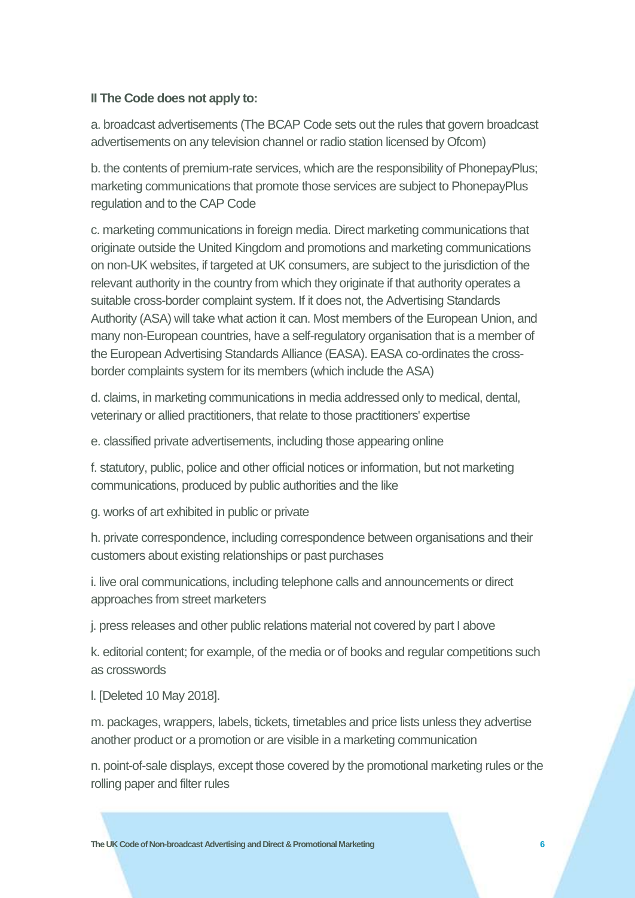### **II The Code does not apply to:**

a. broadcast advertisements (The BCAP Code sets out the rules that govern broadcast advertisements on any television channel or radio station licensed by Ofcom)

b. the contents of premium-rate services, which are the responsibility of PhonepayPlus; marketing communications that promote those services are subject to PhonepayPlus regulation and to the CAP Code

c. marketing communications in foreign media. Direct marketing communications that originate outside the United Kingdom and promotions and marketing communications on non-UK websites, if targeted at UK consumers, are subject to the jurisdiction of the relevant authority in the country from which they originate if that authority operates a suitable cross-border complaint system. If it does not, the Advertising Standards Authority (ASA) will take what action it can. Most members of the European Union, and many non-European countries, have a self-regulatory organisation that is a member of the European Advertising Standards Alliance (EASA). EASA co-ordinates the crossborder complaints system for its members (which include the ASA)

d. claims, in marketing communications in media addressed only to medical, dental, veterinary or allied practitioners, that relate to those practitioners' expertise

e. classified private advertisements, including those appearing online

f. statutory, public, police and other official notices or information, but not marketing communications, produced by public authorities and the like

g. works of art exhibited in public or private

h. private correspondence, including correspondence between organisations and their customers about existing relationships or past purchases

i. live oral communications, including telephone calls and announcements or direct approaches from street marketers

j. press releases and other public relations material not covered by part I above

k. editorial content; for example, of the media or of books and regular competitions such as crosswords

l. [Deleted 10 May 2018].

m. packages, wrappers, labels, tickets, timetables and price lists unless they advertise another product or a promotion or are visible in a marketing communication

n. point-of-sale displays, except those covered by the promotional marketing rules or the rolling paper and filter rules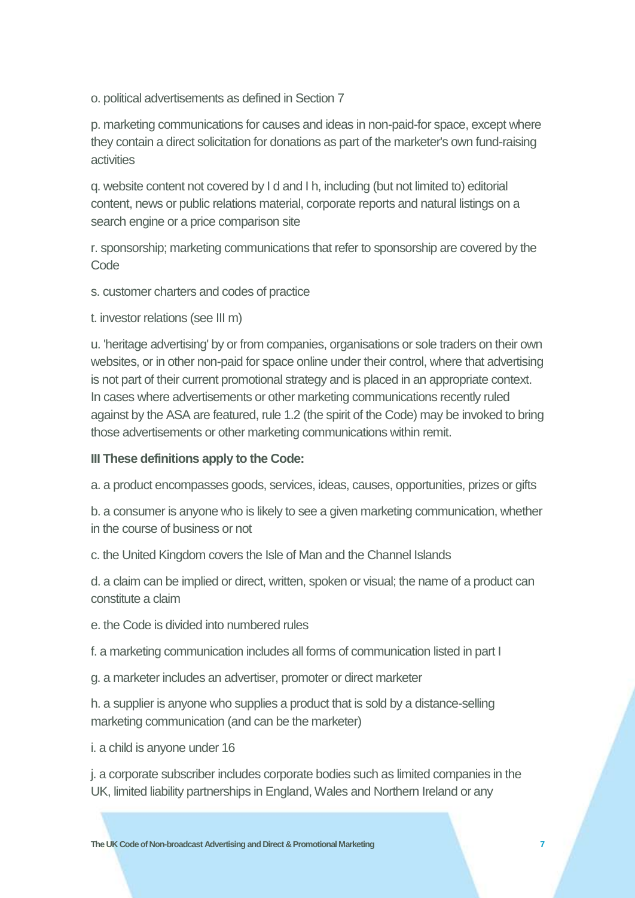o. political advertisements as defined in Section 7

p. marketing communications for causes and ideas in non-paid-for space, except where they contain a direct solicitation for donations as part of the marketer's own fund-raising activities

q. website content not covered by I d and I h, including (but not limited to) editorial content, news or public relations material, corporate reports and natural listings on a search engine or a price comparison site

r. sponsorship; marketing communications that refer to sponsorship are covered by the **Code** 

- s. customer charters and codes of practice
- t. investor relations (see III m)

u. 'heritage advertising' by or from companies, organisations or sole traders on their own websites, or in other non-paid for space online under their control, where that advertising is not part of their current promotional strategy and is placed in an appropriate context. In cases where advertisements or other marketing communications recently ruled against by the ASA are featured, rule 1.2 (the spirit of the Code) may be invoked to bring those advertisements or other marketing communications within remit.

## **III These definitions apply to the Code:**

a. a product encompasses goods, services, ideas, causes, opportunities, prizes or gifts

b. a consumer is anyone who is likely to see a given marketing communication, whether in the course of business or not

c. the United Kingdom covers the Isle of Man and the Channel Islands

d. a claim can be implied or direct, written, spoken or visual; the name of a product can constitute a claim

e. the Code is divided into numbered rules

f. a marketing communication includes all forms of communication listed in part I

g. a marketer includes an advertiser, promoter or direct marketer

h. a supplier is anyone who supplies a product that is sold by a distance-selling marketing communication (and can be the marketer)

i. a child is anyone under 16

j. a corporate subscriber includes corporate bodies such as limited companies in the UK, limited liability partnerships in England, Wales and Northern Ireland or any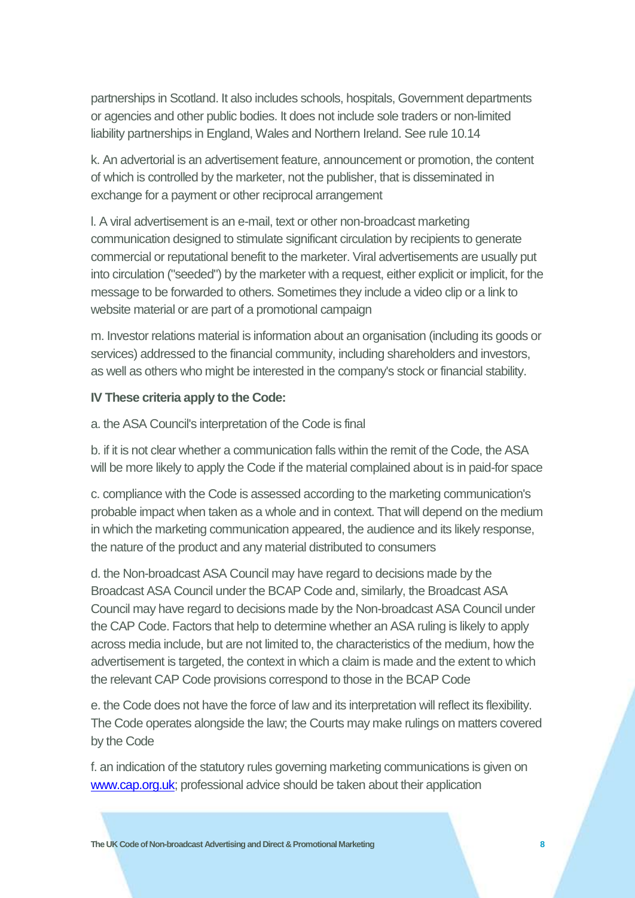partnerships in Scotland. It also includes schools, hospitals, Government departments or agencies and other public bodies. It does not include sole traders or non-limited liability partnerships in England, Wales and Northern Ireland. See rule 10.14

k. An advertorial is an advertisement feature, announcement or promotion, the content of which is controlled by the marketer, not the publisher, that is disseminated in exchange for a payment or other reciprocal arrangement

l. A viral advertisement is an e-mail, text or other non-broadcast marketing communication designed to stimulate significant circulation by recipients to generate commercial or reputational benefit to the marketer. Viral advertisements are usually put into circulation ("seeded") by the marketer with a request, either explicit or implicit, for the message to be forwarded to others. Sometimes they include a video clip or a link to website material or are part of a promotional campaign

m. Investor relations material is information about an organisation (including its goods or services) addressed to the financial community, including shareholders and investors, as well as others who might be interested in the company's stock or financial stability.

#### **IV These criteria apply to the Code:**

a. the ASA Council's interpretation of the Code is final

b. if it is not clear whether a communication falls within the remit of the Code, the ASA will be more likely to apply the Code if the material complained about is in paid-for space

c. compliance with the Code is assessed according to the marketing communication's probable impact when taken as a whole and in context. That will depend on the medium in which the marketing communication appeared, the audience and its likely response, the nature of the product and any material distributed to consumers

d. the Non-broadcast ASA Council may have regard to decisions made by the Broadcast ASA Council under the BCAP Code and, similarly, the Broadcast ASA Council may have regard to decisions made by the Non-broadcast ASA Council under the CAP Code. Factors that help to determine whether an ASA ruling is likely to apply across media include, but are not limited to, the characteristics of the medium, how the advertisement is targeted, the context in which a claim is made and the extent to which the relevant CAP Code provisions correspond to those in the BCAP Code

e. the Code does not have the force of law and its interpretation will reflect its flexibility. The Code operates alongside the law; the Courts may make rulings on matters covered by the Code

f. an indication of the statutory rules governing marketing communications is given on [www.cap.org.uk;](http://www.cap.org.uk/) professional advice should be taken about their application